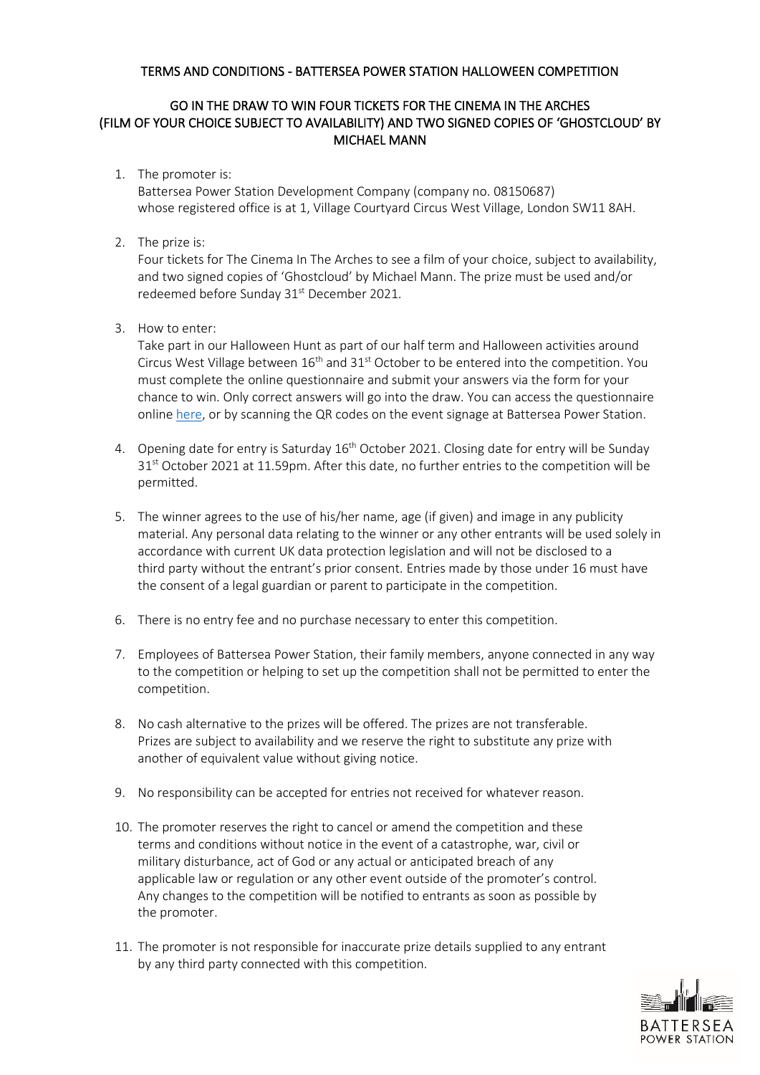## TERMS AND CONDITIONS - BATTERSEA POWER STATION HALLOWEEN COMPETITION

## GO IN THE DRAW TO WIN FOUR TICKETS FOR THE CINEMA IN THE ARCHES (FILM OF YOUR CHOICE SUBJECT TO AVAILABILITY) AND TWO SIGNED COPIES OF 'GHOSTCLOUD' BY MICHAEL MANN

1. The promoter is:

Battersea Power Station Development Company (company no. 08150687) whose registered office is at 1, Village Courtyard Circus West Village, London SW11 8AH.

2. The prize is:

Four tickets for The Cinema In The Arches to see a film of your choice, subject to availability, and two signed copies of 'Ghostcloud' by Michael Mann. The prize must be used and/or redeemed before Sunday 31<sup>st</sup> December 2021.

3. How to enter:

Take part in our Halloween Hunt as part of our half term and Halloween activities around Circus West Village between  $16<sup>th</sup>$  and  $31<sup>st</sup>$  October to be entered into the competition. You must complete the online questionnaire and submit your answers via the form for your chance to win. Only correct answers will go into the draw. You can access the questionnaire online [here,](https://www.surveymonkey.co.uk/r/DPJ3FTW) or by scanning the QR codes on the event signage at Battersea Power Station.

- 4. Opening date for entry is Saturday 16<sup>th</sup> October 2021. Closing date for entry will be Sunday 31<sup>st</sup> October 2021 at 11.59pm. After this date, no further entries to the competition will be permitted.
- 5. The winner agrees to the use of his/her name, age (if given) and image in any publicity material. Any personal data relating to the winner or any other entrants will be used solely in accordance with current UK data protection legislation and will not be disclosed to a third party without the entrant's prior consent. Entries made by those under 16 must have the consent of a legal guardian or parent to participate in the competition.
- 6. There is no entry fee and no purchase necessary to enter this competition.
- 7. Employees of Battersea Power Station, their family members, anyone connected in any way to the competition or helping to set up the competition shall not be permitted to enter the competition.
- 8. No cash alternative to the prizes will be offered. The prizes are not transferable. Prizes are subject to availability and we reserve the right to substitute any prize with another of equivalent value without giving notice.
- 9. No responsibility can be accepted for entries not received for whatever reason.
- 10. The promoter reserves the right to cancel or amend the competition and these terms and conditions without notice in the event of a catastrophe, war, civil or military disturbance, act of God or any actual or anticipated breach of any applicable law or regulation or any other event outside of the promoter's control. Any changes to the competition will be notified to entrants as soon as possible by the promoter.
- 11. The promoter is not responsible for inaccurate prize details supplied to any entrant by any third party connected with this competition.